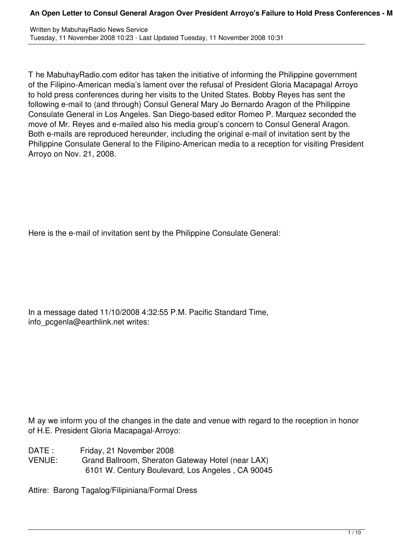T he MabuhayRadio.com editor has taken the initiative of informing the Philippine government of the Filipino-American media's lament over the refusal of President Gloria Macapagal Arroyo to hold press conferences during her visits to the United States. Bobby Reyes has sent the following e-mail to (and through) Consul General Mary Jo Bernardo Aragon of the Philippine Consulate General in Los Angeles. San Diego-based editor Romeo P. Marquez seconded the move of Mr. Reyes and e-mailed also his media group's concern to Consul General Aragon. Both e-mails are reproduced hereunder, including the original e-mail of invitation sent by the Philippine Consulate General to the Filipino-American media to a reception for visiting President Arroyo on Nov. 21, 2008.

Here is the e-mail of invitation sent by the Philippine Consulate General:

In a message dated 11/10/2008 4:32:55 P.M. Pacific Standard Time, info\_pcgenla@earthlink.net writes:

M ay we inform you of the changes in the date and venue with regard to the reception in honor of H.E. President Gloria Macapagal-Arroyo:

DATE : Friday, 21 November 2008 VENUE: Grand Ballroom, Sheraton Gateway Hotel (near LAX) 6101 W. Century Boulevard, Los Angeles , CA 90045

Attire: Barong Tagalog/Filipiniana/Formal Dress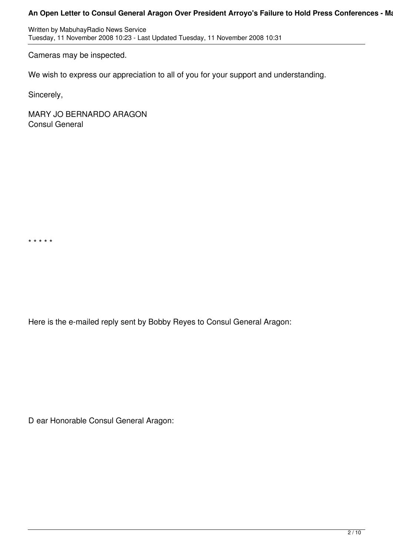Written by MabuhayRadio News Service Tuesday, 11 November 2008 10:23 - Last Updated Tuesday, 11 November 2008 10:31

Cameras may be inspected.

We wish to express our appreciation to all of you for your support and understanding.

Sincerely,

\* \* \* \* \*

MARY JO BERNARDO ARAGON Consul General

Here is the e-mailed reply sent by Bobby Reyes to Consul General Aragon:

D ear Honorable Consul General Aragon: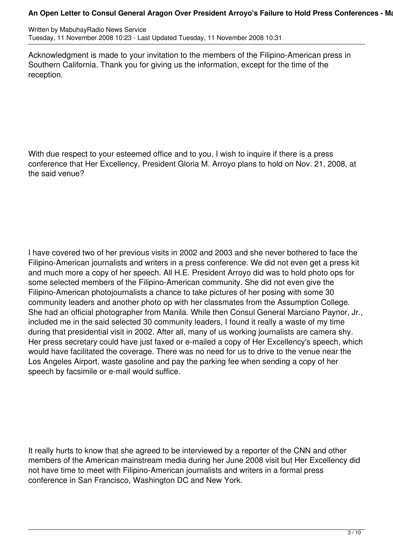Written by MabuhayRadio News Service Tuesday, 11 November 2008 10:23 - Last Updated Tuesday, 11 November 2008 10:31

Acknowledgment is made to your invitation to the members of the Filipino-American press in Southern California. Thank you for giving us the information, except for the time of the reception.

With due respect to your esteemed office and to you, I wish to inquire if there is a press conference that Her Excellency, President Gloria M. Arroyo plans to hold on Nov. 21, 2008, at the said venue?

I have covered two of her previous visits in 2002 and 2003 and she never bothered to face the Filipino-American journalists and writers in a press conference. We did not even get a press kit and much more a copy of her speech. All H.E. President Arroyo did was to hold photo ops for some selected members of the Filipino-American community. She did not even give the Filipino-American photojournalists a chance to take pictures of her posing with some 30 community leaders and another photo op with her classmates from the Assumption College. She had an official photographer from Manila. While then Consul General Marciano Paynor, Jr., included me in the said selected 30 community leaders, I found it really a waste of my time during that presidential visit in 2002. After all, many of us working journalists are camera shy. Her press secretary could have just faxed or e-mailed a copy of Her Excellency's speech, which would have facilitated the coverage. There was no need for us to drive to the venue near the Los Angeles Airport, waste gasoline and pay the parking fee when sending a copy of her speech by facsimile or e-mail would suffice.

It really hurts to know that she agreed to be interviewed by a reporter of the CNN and other members of the American mainstream media during her June 2008 visit but Her Excellency did not have time to meet with Filipino-American journalists and writers in a formal press conference in San Francisco, Washington DC and New York.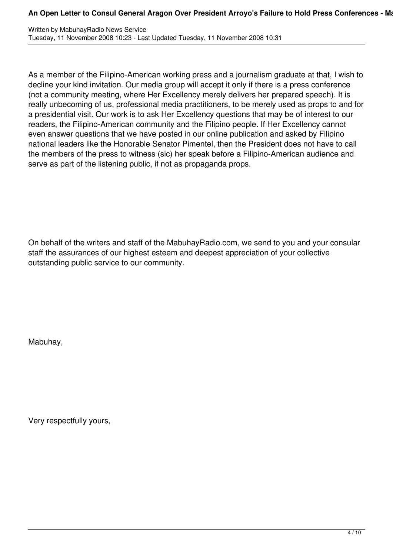As a member of the Filipino-American working press and a journalism graduate at that, I wish to decline your kind invitation. Our media group will accept it only if there is a press conference (not a community meeting, where Her Excellency merely delivers her prepared speech). It is really unbecoming of us, professional media practitioners, to be merely used as props to and for a presidential visit. Our work is to ask Her Excellency questions that may be of interest to our readers, the Filipino-American community and the Filipino people. If Her Excellency cannot even answer questions that we have posted in our online publication and asked by Filipino national leaders like the Honorable Senator Pimentel, then the President does not have to call the members of the press to witness (sic) her speak before a Filipino-American audience and serve as part of the listening public, if not as propaganda props.

On behalf of the writers and staff of the MabuhayRadio.com, we send to you and your consular staff the assurances of our highest esteem and deepest appreciation of your collective outstanding public service to our community.

Mabuhay,

Very respectfully yours,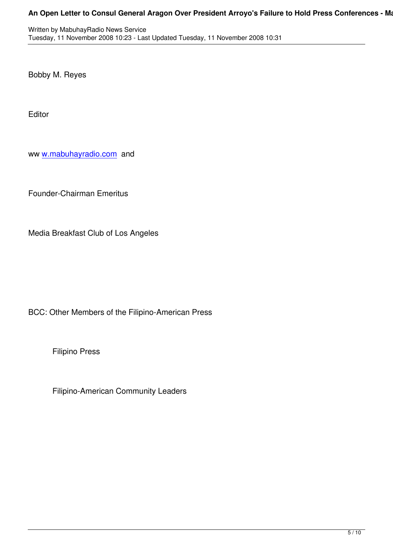Bobby M. Reyes

Editor

ww w.mabuhayradio.com and

Fo[under-Chairman Emeri](../../undefined/)tus

Media Breakfast Club of Los Angeles

BCC: Other Members of the Filipino-American Press

Filipino Press

Filipino-American Community Leaders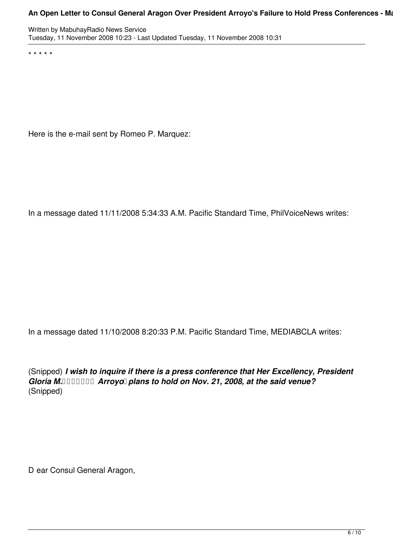Written by MabuhayRadio News Service Tuesday, 11 November 2008 10:23 - Last Updated Tuesday, 11 November 2008 10:31

\* \* \* \* \*

Here is the e-mail sent by Romeo P. Marquez:

In a message dated 11/11/2008 5:34:33 A.M. Pacific Standard Time, PhilVoiceNews writes:

In a message dated 11/10/2008 8:20:33 P.M. Pacific Standard Time, MEDIABCLA writes:

(Snipped) *I wish to inquire if there is a press conference that Her Excellency, President Gloria M. Arroyo plans to hold on Nov. 21, 2008, at the said venue?* (Snipped)

D ear Consul General Aragon,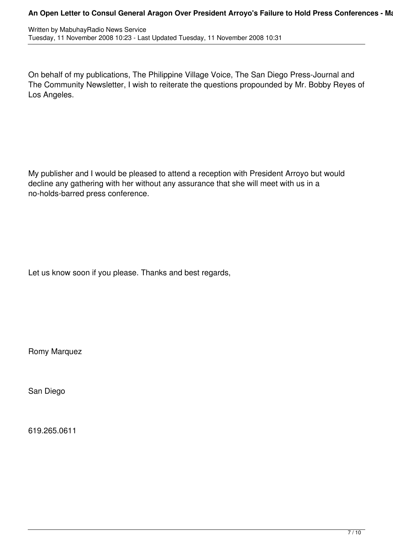On behalf of my publications, The Philippine Village Voice, The San Diego Press-Journal and The Community Newsletter, I wish to reiterate the questions propounded by Mr. Bobby Reyes of Los Angeles.

My publisher and I would be pleased to attend a reception with President Arroyo but would decline any gathering with her without any assurance that she will meet with us in a no-holds-barred press conference.

Let us know soon if you please. Thanks and best regards,

Romy Marquez

San Diego

619.265.0611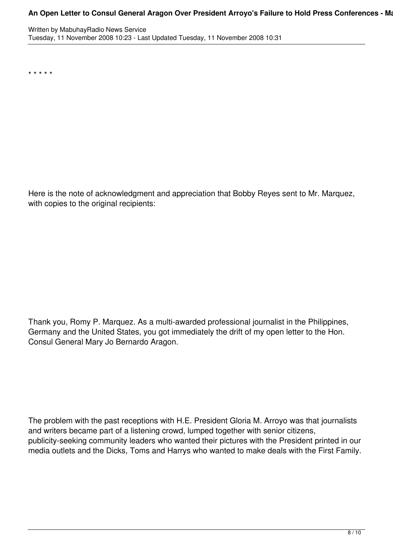\* \* \* \* \*

Here is the note of acknowledgment and appreciation that Bobby Reyes sent to Mr. Marquez, with copies to the original recipients:

Thank you, Romy P. Marquez. As a multi-awarded professional journalist in the Philippines, Germany and the United States, you got immediately the drift of my open letter to the Hon. Consul General Mary Jo Bernardo Aragon.

The problem with the past receptions with H.E. President Gloria M. Arroyo was that journalists and writers became part of a listening crowd, lumped together with senior citizens, publicity-seeking community leaders who wanted their pictures with the President printed in our media outlets and the Dicks, Toms and Harrys who wanted to make deals with the First Family.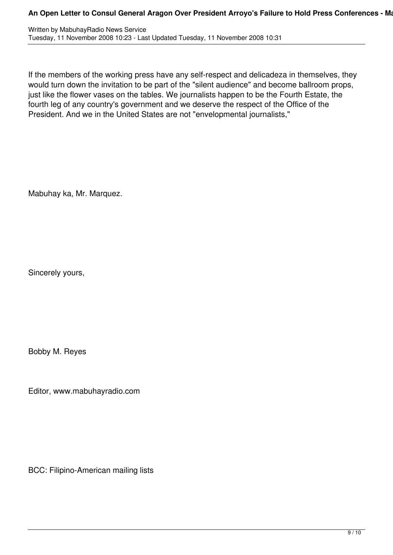| Written by MabuhayRadio News Service                                           |
|--------------------------------------------------------------------------------|
| Tuesday, 11 November 2008 10:23 - Last Updated Tuesday, 11 November 2008 10:31 |

If the members of the working press have any self-respect and delicadeza in themselves, they would turn down the invitation to be part of the "silent audience" and become ballroom props, just like the flower vases on the tables. We journalists happen to be the Fourth Estate, the fourth leg of any country's government and we deserve the respect of the Office of the President. And we in the United States are not "envelopmental journalists,"

Mabuhay ka, Mr. Marquez.

Sincerely yours,

Bobby M. Reyes

Editor, www.mabuhayradio.com

BCC: Filipino-American mailing lists